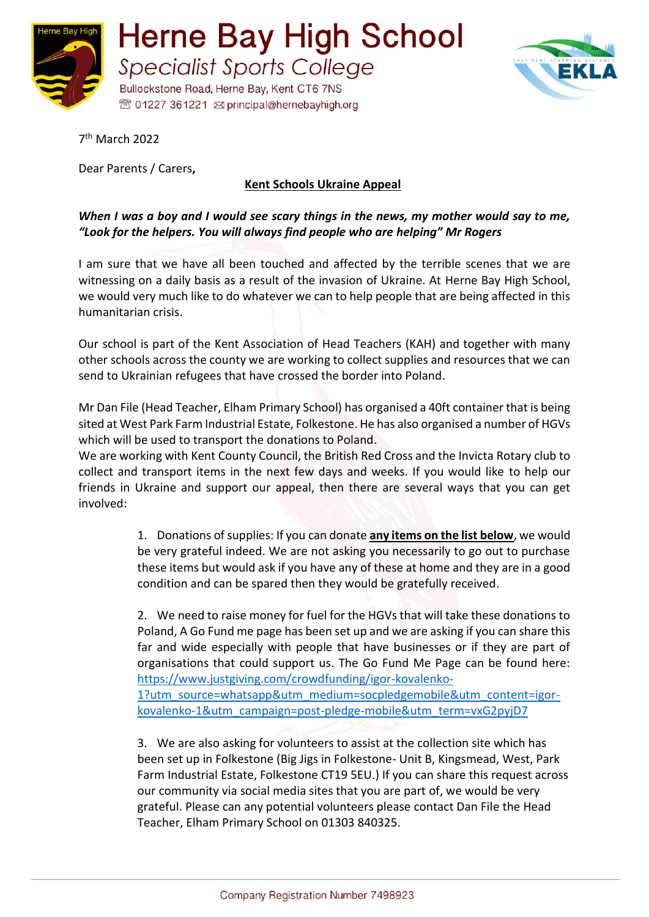



7 th March 2022

Dear Parents / Carers**,**

## **Kent Schools Ukraine Appeal**

## *When I was a boy and I would see scary things in the news, my mother would say to me, "Look for the helpers. You will always find people who are helping" Mr Rogers*

I am sure that we have all been touched and affected by the terrible scenes that we are witnessing on a daily basis as a result of the invasion of Ukraine. At Herne Bay High School, we would very much like to do whatever we can to help people that are being affected in this humanitarian crisis.

Our school is part of the Kent Association of Head Teachers (KAH) and together with many other schools across the county we are working to collect supplies and resources that we can send to Ukrainian refugees that have crossed the border into Poland.

Mr Dan File (Head Teacher, Elham Primary School) has organised a 40ft container that is being sited at West Park Farm Industrial Estate, Folkestone. He has also organised a number of HGVs which will be used to transport the donations to Poland.

We are working with Kent County Council, the British Red Cross and the Invicta Rotary club to collect and transport items in the next few days and weeks. If you would like to help our friends in Ukraine and support our appeal, then there are several ways that you can get involved:

> 1. Donations of supplies: If you can donate **any items on the list below**, we would be very grateful indeed. We are not asking you necessarily to go out to purchase these items but would ask if you have any of these at home and they are in a good condition and can be spared then they would be gratefully received.

> 2. We need to raise money for fuel for the HGVs that will take these donations to Poland, A Go Fund me page has been set up and we are asking if you can share this far and wide especially with people that have businesses or if they are part of organisations that could support us. The Go Fund Me Page can be found here: [https://www.justgiving.com/crowdfunding/igor-kovalenko-](https://www.justgiving.com/crowdfunding/igor-kovalenko-1?utm_source=whatsapp&utm_medium=socpledgemobile&utm_content=igor-kovalenko-1&utm_campaign=post-pledge-mobile&utm_term=vxG2pyjD7)

[1?utm\\_source=whatsapp&utm\\_medium=socpledgemobile&utm\\_content=igor](https://www.justgiving.com/crowdfunding/igor-kovalenko-1?utm_source=whatsapp&utm_medium=socpledgemobile&utm_content=igor-kovalenko-1&utm_campaign=post-pledge-mobile&utm_term=vxG2pyjD7)[kovalenko-1&utm\\_campaign=post-pledge-mobile&utm\\_term=vxG2pyjD7](https://www.justgiving.com/crowdfunding/igor-kovalenko-1?utm_source=whatsapp&utm_medium=socpledgemobile&utm_content=igor-kovalenko-1&utm_campaign=post-pledge-mobile&utm_term=vxG2pyjD7)

3. We are also asking for volunteers to assist at the collection site which has been set up in Folkestone (Big Jigs in Folkestone- Unit B, Kingsmead, West, Park Farm Industrial Estate, Folkestone CT19 5EU.) If you can share this request across our community via social media sites that you are part of, we would be very grateful. Please can any potential volunteers please contact Dan File the Head Teacher, Elham Primary School on 01303 840325.